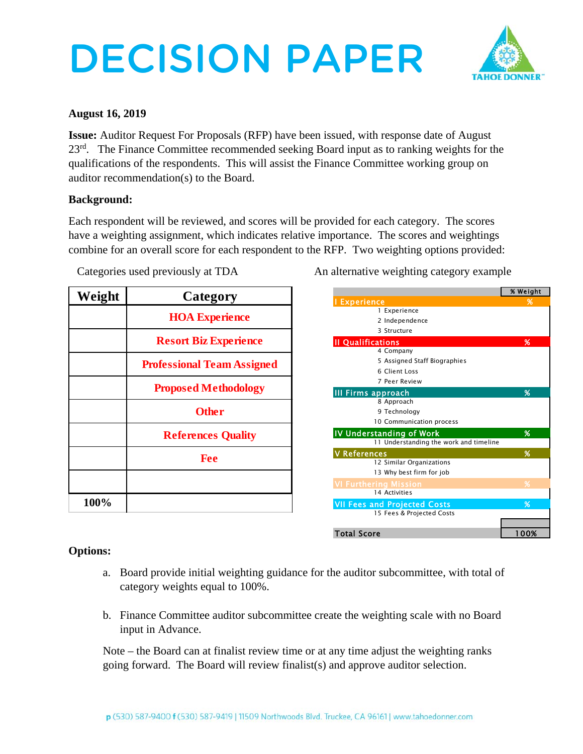# DECISION PAPER



### **August 16, 2019**

**Issue:** Auditor Request For Proposals (RFP) have been issued, with response date of August 23<sup>rd</sup>. The Finance Committee recommended seeking Board input as to ranking weights for the qualifications of the respondents. This will assist the Finance Committee working group on auditor recommendation(s) to the Board.

## **Background:**

Each respondent will be reviewed, and scores will be provided for each category. The scores have a weighting assignment, which indicates relative importance. The scores and weightings combine for an overall score for each respondent to the RFP. Two weighting options provided:

| Weight | Category                          |
|--------|-----------------------------------|
|        | <b>HOA Experience</b>             |
|        | <b>Resort Biz Experience</b>      |
|        | <b>Professional Team Assigned</b> |
|        | <b>Proposed Methodology</b>       |
|        | <b>Other</b>                      |
|        | <b>References Quality</b>         |
|        | <b>Fee</b>                        |
|        |                                   |
| 100%   |                                   |

Categories used previously at TDA An alternative weighting category example

|                                        | % Weight |
|----------------------------------------|----------|
| <b>I Experience</b>                    | %        |
| 1 Experience                           |          |
| 2 Independence                         |          |
| 3 Structure                            |          |
| <b>Il Qualifications</b>               | %        |
| 4 Company                              |          |
| 5 Assigned Staff Biographies           |          |
| 6 Client Loss                          |          |
| 7 Peer Review                          |          |
| III Firms approach                     | %        |
| 8 Approach                             |          |
| 9 Technology                           |          |
| 10 Communication process               |          |
| <b>IV Understanding of Work</b>        | %        |
| 11 Understanding the work and timeline |          |
| <b>V</b> References                    | %        |
| 12 Similar Organizations               |          |
| 13 Why best firm for job               |          |
| <b>VI Furthering Mission</b>           | %        |
| 14 Activities                          |          |
| <b>VII Fees and Projected Costs</b>    | %        |
| 15 Fees & Projected Costs              |          |
|                                        |          |
| <b>Total Score</b>                     | 100%     |

## **Options:**

- a. Board provide initial weighting guidance for the auditor subcommittee, with total of category weights equal to 100%.
- b. Finance Committee auditor subcommittee create the weighting scale with no Board input in Advance.

Note – the Board can at finalist review time or at any time adjust the weighting ranks going forward. The Board will review finalist(s) and approve auditor selection.